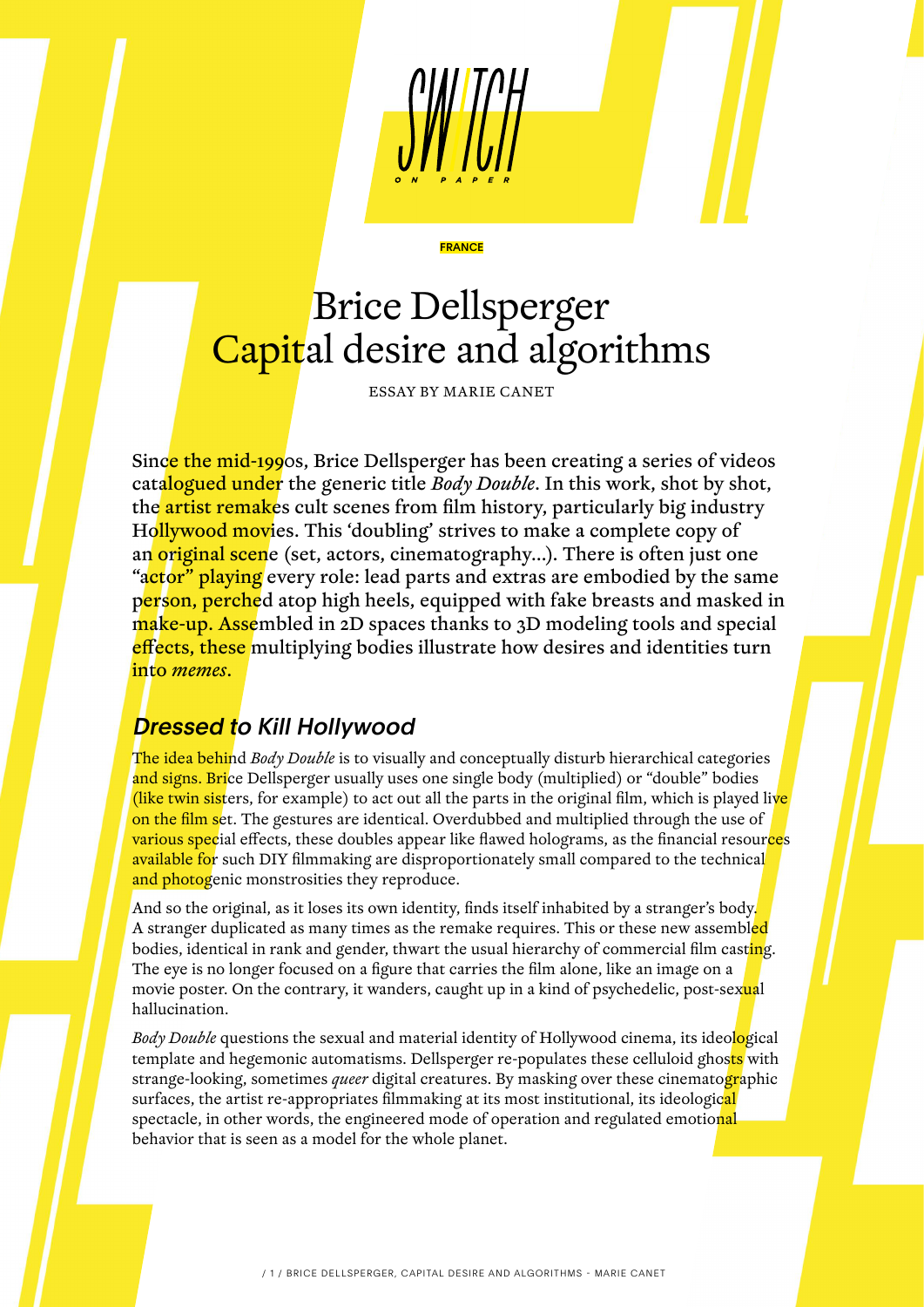

# Brice Dellsperger Capital desire and algorithms

**FRANCE** 

ESSAY BY MARIE CANET

Since the mid-1990s, Brice Dellsperger has been creating a series of videos catalogued under the generic title *Body Double*. In this work, shot by shot, the artist remakes cult scenes from film history, particularly big industry Hollywood movies. This 'doubling' strives to make a complete copy of an original scene (set, actors, cinematography...). There is often just one "actor" playing every role: lead parts and extras are embodied by the same person, perched atop high heels, equipped with fake breasts and masked in make-up. Assembled in 2D spaces thanks to 3D modeling tools and special effects, these multiplying bodies illustrate how desires and identities turn into *memes*.

### Dressed to Kill Hollywood

The idea behind *Body Double* is to visually and conceptually disturb hierarchical categories and signs. Brice Dellsperger usually uses one single body (multiplied) or "double" bodies (like twin sisters, for example) to act out all the parts in the original film, which is played live on the film set. The gestures are identical. Overdubbed and multiplied through the use of various special effects, these doubles appear like flawed holograms, as the financial resources available for such DIY filmmaking are disproportionately small compared to the technical and photogenic monstrosities they reproduce.

And so the original, as it loses its own identity, finds itself inhabited by a stranger's body. A stranger duplicated as many times as the remake requires. This or these new assembled bodies, identical in rank and gender, thwart the usual hierarchy of commercial film cast<mark>in</mark>g. The eye is no longer focused on a figure that carries the film alone, like an image on a movie poster. On the contrary, it wanders, caught up in a kind of psychedelic, post-sexual hallucination.

*Body Double* questions the sexual and material identity of Hollywood cinema, its ideological template and hegemonic automatisms. Dellsperger re-populates these celluloid ghosts with strange-looking, sometimes *queer* digital creatures. By masking over these cinematographic surfaces, the artist re-appropriates filmmaking at its most institutional, its ideological spectacle, in other words, the engineered mode of operation and regulated emotional behavior that is seen as a model for the whole planet.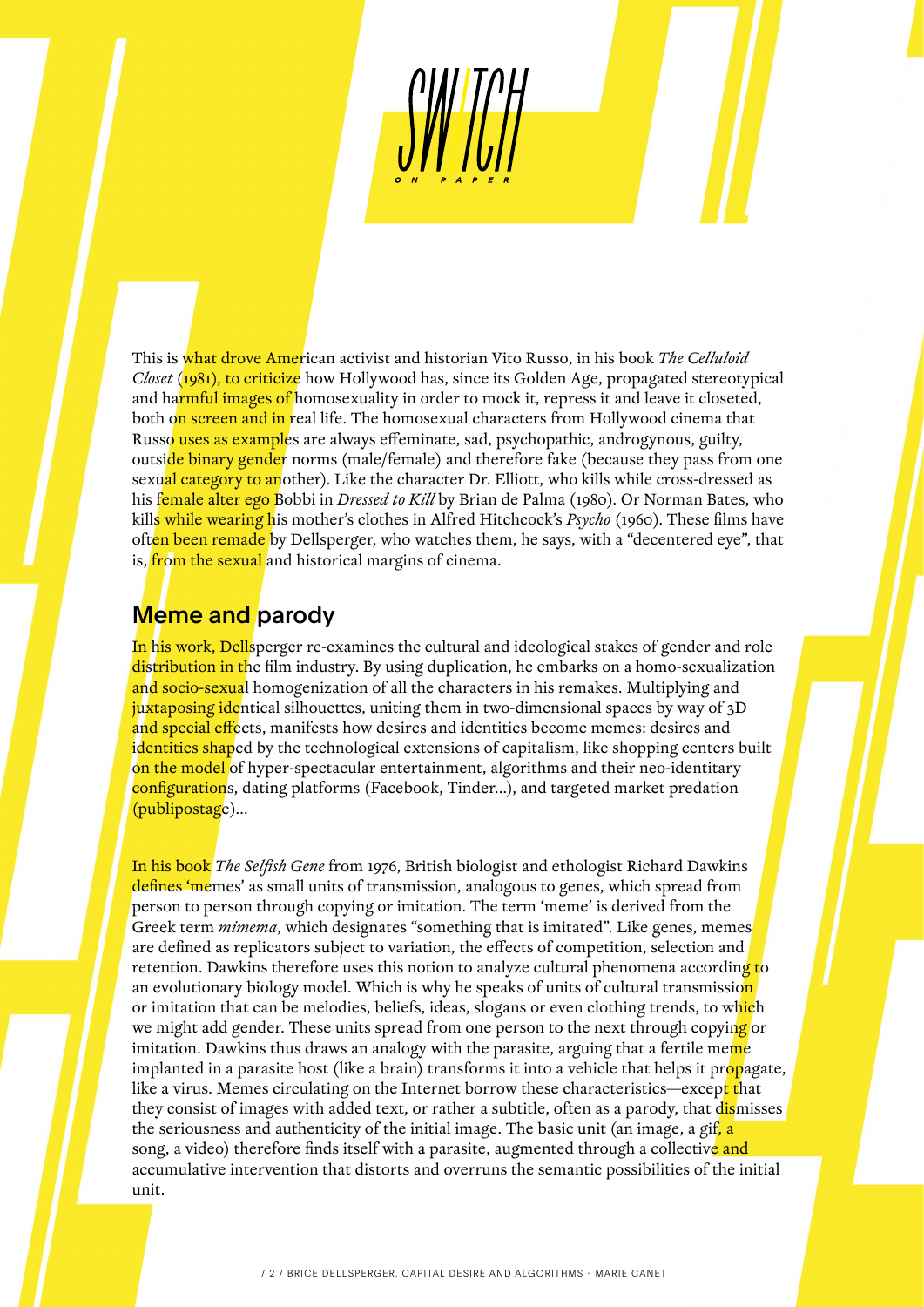This is what drove American activist and historian Vito Russo, in his book *The Celluloid Closet* (1981), to criticize how Hollywood has, since its Golden Age, propagated stereotypical and harmful images of homosexuality in order to mock it, repress it and leave it closeted, both on screen and in real life. The homosexual characters from Hollywood cinema that Russo uses as examples are always effeminate, sad, psychopathic, androgynous, guilty, outside binary gender norms (male/female) and therefore fake (because they pass from one sexual category to another). Like the character Dr. Elliott, who kills while cross-dressed as his female alter ego Bobbi in *Dressed to Kill* by Brian de Palma (1980). Or Norman Bates, who kills while wearing his mother's clothes in Alfred Hitchcock's *Psycho* (1960). These films have often been remade by Dellsperger, who watches them, he says, with a "decentered eye", that is, from the sexual and historical margins of cinema.

#### Meme and parody

In his work, Dellsperger re-examines the cultural and ideological stakes of gender and role distribution in the film industry. By using duplication, he embarks on a homo-sexualization and socio-sexual homogenization of all the characters in his remakes. Multiplying and juxtaposing identical silhouettes, uniting them in two-dimensional spaces by way of 3D and special effects, manifests how desires and identities become memes: desires and identities shaped by the technological extensions of capitalism, like shopping centers built on the model of hyper-spectacular entertainment, algorithms and their neo-identitary configurations, dating platforms (Facebook, Tinder...), and targeted market predation (publipostage)…

In his book *The Selfish Gene* from 1976, British biologist and ethologist Richard Dawkins defines 'memes' as small units of transmission, analogous to genes, which spread from person to person through copying or imitation. The term 'meme' is derived from the Greek term *mimema*, which designates "something that is imitated". Like genes, memes are defined as replicators subject to variation, the effects of competition, selection and retention. Dawkins therefore uses this notion to analyze cultural phenomena according to an evolutionary biology model. Which is why he speaks of units of cultural transmission or imitation that can be melodies, beliefs, ideas, slogans or even clothing trends, to which we might add gender. These units spread from one person to the next through copying or imitation. Dawkins thus draws an analogy with the parasite, arguing that a fertile meme implanted in a parasite host (like a brain) transforms it into a vehicle that helps it propagate, like a virus. Memes circulating on the Internet borrow these characteristics—except that they consist of images with added text, or rather a subtitle, often as a parody, that dismisses the seriousness and authenticity of the initial image. The basic unit (an image, a gif<mark>, a</mark> song, a video) therefore finds itself with a parasite, augmented through a collective and accumulative intervention that distorts and overruns the semantic possibilities of the initial unit.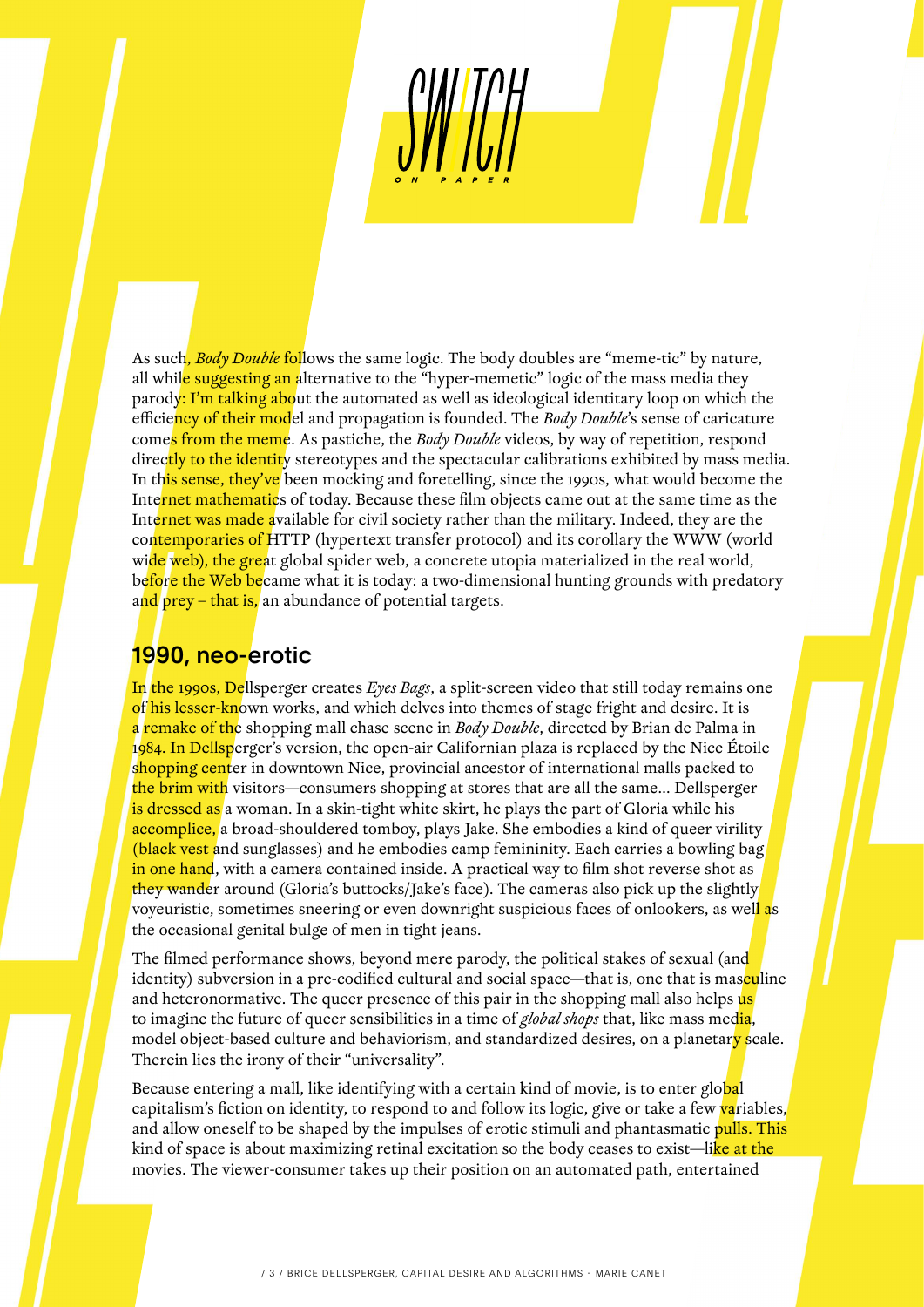As such, *Body Double* follows the same logic. The body doubles are "meme-tic" by nature, all while suggesting an alternative to the "hyper-memetic" logic of the mass media they parody: I'm talking about the automated as well as ideological identitary loop on which the efficiency of their model and propagation is founded. The *Body Double*'s sense of caricature comes from the meme. As pastiche, the *Body Double* videos, by way of repetition, respond directly to the identity stereotypes and the spectacular calibrations exhibited by mass media. In this sense, they've been mocking and foretelling, since the 1990s, what would become the Internet mathematics of today. Because these film objects came out at the same time as the Internet was made available for civil society rather than the military. Indeed, they are the contemporaries of HTTP (hypertext transfer protocol) and its corollary the WWW (world wide web), the great global spider web, a concrete utopia materialized in the real world, before the Web became what it is today: a two-dimensional hunting grounds with predatory and prey – that is, an abundance of potential targets.

## 1990, neo-erotic

In the 1990s, Dellsperger creates *Eyes Bags*, a split-screen video that still today remains one of his lesser-known works, and which delves into themes of stage fright and desire. It is a remake of the shopping mall chase scene in *Body Double*, directed by Brian de Palma in 1984. In Dellsperger's version, the open-air Californian plaza is replaced by the Nice Étoile shopping center in downtown Nice, provincial ancestor of international malls packed to the brim with visitors—consumers shopping at stores that are all the same... Dellsperger is dressed as a woman. In a skin-tight white skirt, he plays the part of Gloria while his accomplice, a broad-shouldered tomboy, plays Jake. She embodies a kind of queer virility (black vest and sunglasses) and he embodies camp femininity. Each carries a bowling bag in one hand, with a camera contained inside. A practical way to film shot reverse shot as they wander around (Gloria's buttocks/Jake's face). The cameras also pick up the slightly voyeuristic, sometimes sneering or even downright suspicious faces of onlookers, as well as the occasional genital bulge of men in tight jeans.

The filmed performance shows, beyond mere parody, the political stakes of sexual (and identity) subversion in a pre-codified cultural and social space—that is, one that is masculine and heteronormative. The queer presence of this pair in the shopping mall also helps us to imagine the future of queer sensibilities in a time of *global shops* that, like mass media, model object-based culture and behaviorism, and standardized desires, on a planetary scale. Therein lies the irony of their "universality".

Because entering a mall, like identifying with a certain kind of movie, is to enter glo<mark>ba</mark>l capitalism's fiction on identity, to respond to and follow its logic, give or take a few variables, and allow oneself to be shaped by the impulses of erotic stimuli and phantasmatic pulls. This kind of space is about maximizing retinal excitation so the body ceases to exist—like at the movies. The viewer-consumer takes up their position on an automated path, entertained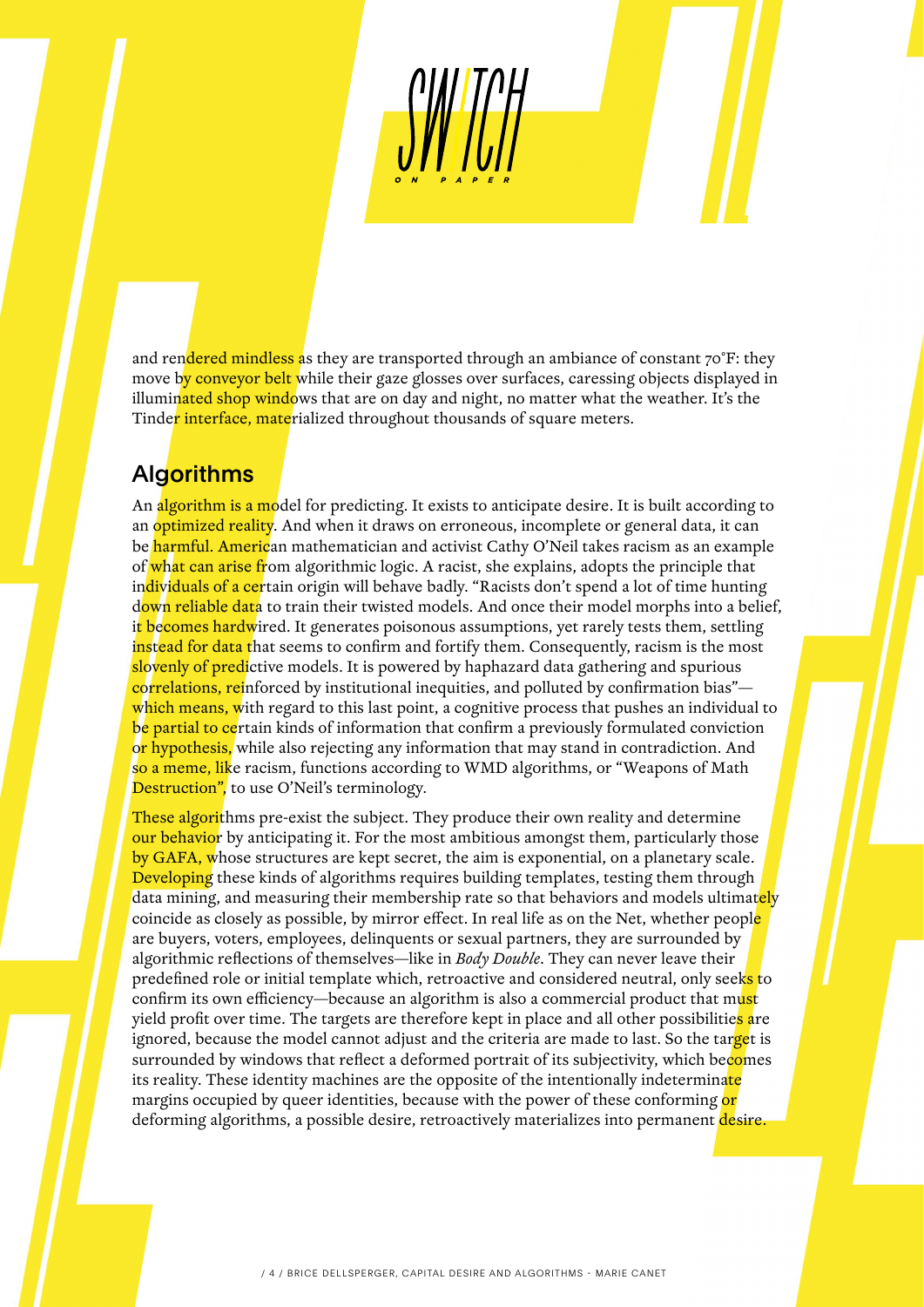and rendered mindless as they are transported through an ambiance of constant 70°F: they move by conveyor belt while their gaze glosses over surfaces, caressing objects displayed in illuminated shop windows that are on day and night, no matter what the weather. It's the Tinder interface, materialized throughout thousands of square meters.

## **Algorithms**

An algorithm is a model for predicting. It exists to anticipate desire. It is built according to an optimized reality. And when it draws on erroneous, incomplete or general data, it can be harmful. American mathematician and activist Cathy O'Neil takes racism as an example of what can arise from algorithmic logic. A racist, she explains, adopts the principle that individuals of a certain origin will behave badly. "Racists don't spend a lot of time hunting down reliable data to train their twisted models. And once their model morphs into a belief, it becomes hardwired. It generates poisonous assumptions, yet rarely tests them, settling instead for data that seems to confirm and fortify them. Consequently, racism is the most slovenly of predictive models. It is powered by haphazard data gathering and spurious correlations, reinforced by institutional inequities, and polluted by confirmation bias" which means, with regard to this last point, a cognitive process that pushes an individual to be partial to certain kinds of information that confirm a previously formulated conviction or hypothesis, while also rejecting any information that may stand in contradiction. And so a meme, like racism, functions according to WMD algorithms, or "Weapons of Math Destruction", to use O'Neil's terminology.

These algorithms pre-exist the subject. They produce their own reality and determine our behavior by anticipating it. For the most ambitious amongst them, particularly those by GAFA, whose structures are kept secret, the aim is exponential, on a planetary scale. Developing these kinds of algorithms requires building templates, testing them through data mining, and measuring their membership rate so that behaviors and models ultimately coincide as closely as possible, by mirror effect. In real life as on the Net, whether people are buyers, voters, employees, delinquents or sexual partners, they are surrounded by algorithmic reflections of themselves—like in *Body Double*. They can never leave their predefined role or initial template which, retroactive and considered neutral, only seeks to confirm its own efficiency—because an algorithm is also a commercial product that must yield profit over time. The targets are therefore kept in place and all other possibilities are ignored, because the model cannot adjust and the criteria are made to last. So the target is surrounded by windows that reflect a deformed portrait of its subjectivity, which becomes its reality. These identity machines are the opposite of the intentionally indeterminate margins occupied by queer identities, because with the power of these conforming or deforming algorithms, a possible desire, retroactively materializes into permanent desire.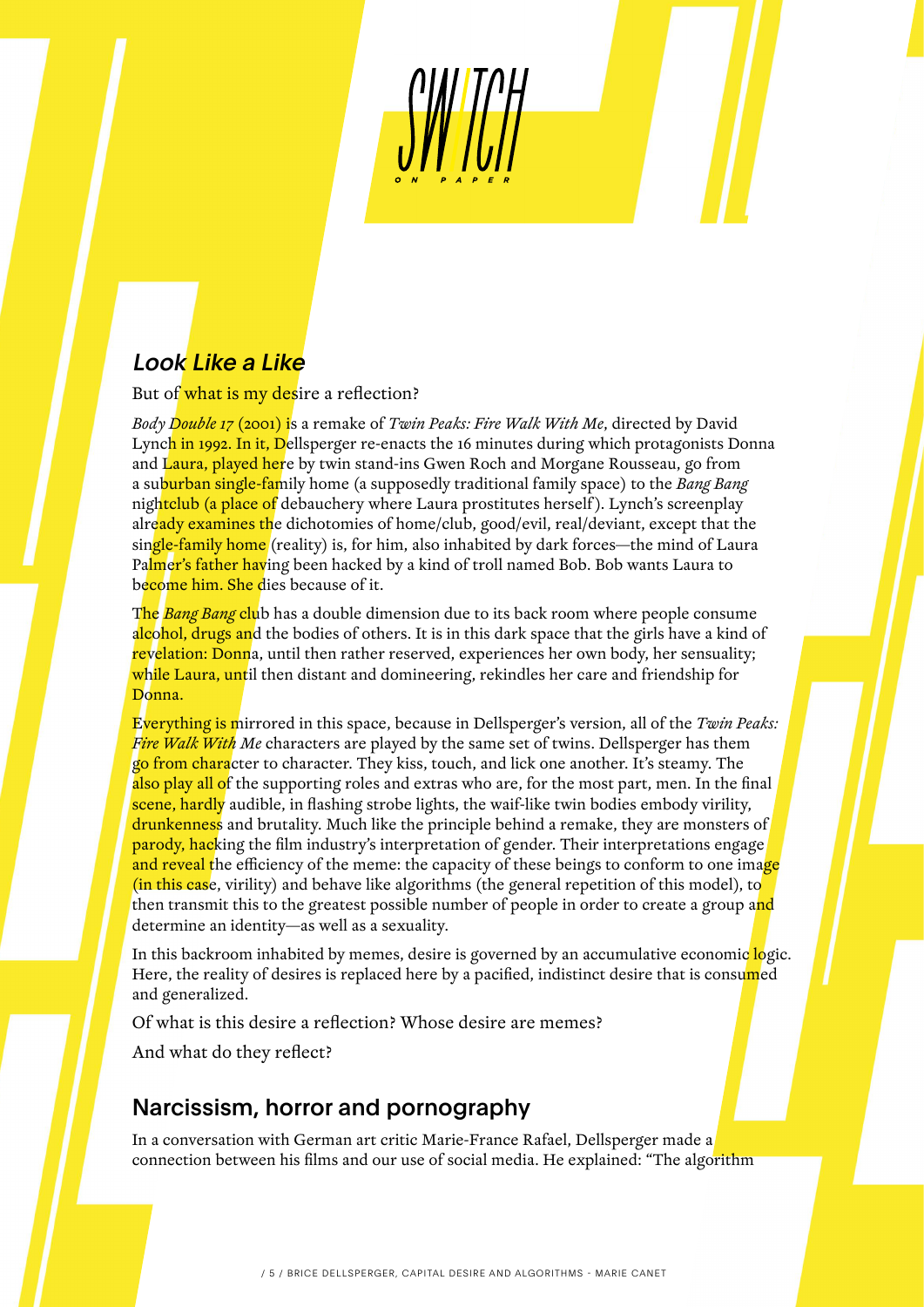## Look Like a Like

But of what is my desire a reflection?

*Body Double 17* (2001) is a remake of *Twin Peaks: Fire Walk With Me*, directed by David Lynch in 1992. In it, Dellsperger re-enacts the 16 minutes during which protagonists Donna and Laura, played here by twin stand-ins Gwen Roch and Morgane Rousseau, go from a suburban single-family home (a supposedly traditional family space) to the *Bang Bang* nightclub (a place of debauchery where Laura prostitutes herself). Lynch's screenplay already examines the dichotomies of home/club, good/evil, real/deviant, except that the single-family home (reality) is, for him, also inhabited by dark forces—the mind of Laura Palmer's father having been hacked by a kind of troll named Bob. Bob wants Laura to become him. She dies because of it.

The *Bang Bang* club has a double dimension due to its back room where people consume alcohol, drugs and the bodies of others. It is in this dark space that the girls have a kind of revelation: Donna, until then rather reserved, experiences her own body, her sensuality; while Laura, until then distant and domineering, rekindles her care and friendship for Donna.

Everything is mirrored in this space, because in Dellsperger's version, all of the *Twin Peaks: Fire Walk With Me* characters are played by the same set of twins. Dellsperger has them go from character to character. They kiss, touch, and lick one another. It's steamy. The also play all of the supporting roles and extras who are, for the most part, men. In the final scene, hardly audible, in flashing strobe lights, the waif-like twin bodies embody virility, drunkenness and brutality. Much like the principle behind a remake, they are monsters of parody, hacking the film industry's interpretation of gender. Their interpretations engage and reveal the efficiency of the meme: the capacity of these beings to conform to one image (in this case, virility) and behave like algorithms (the general repetition of this model), to then transmit this to the greatest possible number of people in order to create a group and determine an identity—as well as a sexuality.

In this backroom inhabited by memes, desire is governed by an accumulative economic logic. Here, the reality of desires is replaced here by a pacified, indistinct desire that is consumed and generalized.

Of what is this desire a reflection? Whose desire are memes?

And what do they reflect?

#### Narcissism, horror and pornography

In a conversation with German art critic Marie-France Rafael, Dellsperger made a connection between his films and our use of social media. He explained: "The algorithm